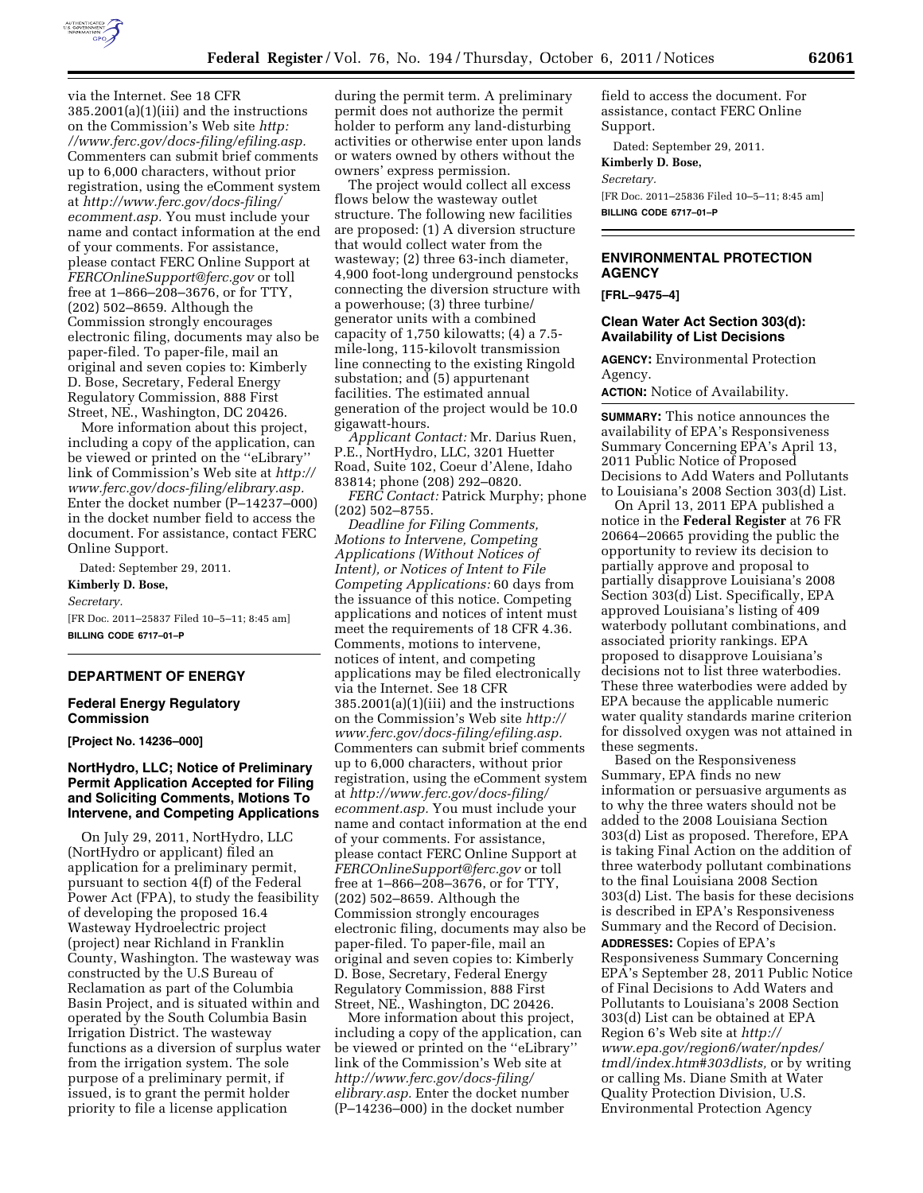

via the Internet. See 18 CFR 385.2001(a)(1)(iii) and the instructions on the Commission's Web site *[http:](http://www.ferc.gov/docs-filing/efiling.asp)  [//www.ferc.gov/docs-filing/efiling.asp.](http://www.ferc.gov/docs-filing/efiling.asp)*  Commenters can submit brief comments up to 6,000 characters, without prior registration, using the eComment system at *[http://www.ferc.gov/docs-filing/](http://www.ferc.gov/docs-filing/ecomment.asp) [ecomment.asp.](http://www.ferc.gov/docs-filing/ecomment.asp)* You must include your name and contact information at the end of your comments. For assistance, please contact FERC Online Support at *[FERCOnlineSupport@ferc.gov](mailto:FERCOnlineSupport@ferc.gov)* or toll free at 1–866–208–3676, or for TTY, (202) 502–8659. Although the Commission strongly encourages electronic filing, documents may also be paper-filed. To paper-file, mail an original and seven copies to: Kimberly D. Bose, Secretary, Federal Energy Regulatory Commission, 888 First Street, NE., Washington, DC 20426.

More information about this project, including a copy of the application, can be viewed or printed on the ''eLibrary'' link of Commission's Web site at *[http://](http://www.ferc.gov/docs-filing/elibrary.asp) [www.ferc.gov/docs-filing/elibrary.asp.](http://www.ferc.gov/docs-filing/elibrary.asp)*  Enter the docket number (P–14237–000) in the docket number field to access the document. For assistance, contact FERC Online Support.

Dated: September 29, 2011. **Kimberly D. Bose,**  *Secretary.*  [FR Doc. 2011–25837 Filed 10–5–11; 8:45 am] **BILLING CODE 6717–01–P** 

### **DEPARTMENT OF ENERGY**

**Federal Energy Regulatory Commission** 

**[Project No. 14236–000]** 

## **NortHydro, LLC; Notice of Preliminary Permit Application Accepted for Filing and Soliciting Comments, Motions To Intervene, and Competing Applications**

On July 29, 2011, NortHydro, LLC (NortHydro or applicant) filed an application for a preliminary permit, pursuant to section 4(f) of the Federal Power Act (FPA), to study the feasibility of developing the proposed 16.4 Wasteway Hydroelectric project (project) near Richland in Franklin County, Washington. The wasteway was constructed by the U.S Bureau of Reclamation as part of the Columbia Basin Project, and is situated within and operated by the South Columbia Basin Irrigation District. The wasteway functions as a diversion of surplus water from the irrigation system. The sole purpose of a preliminary permit, if issued, is to grant the permit holder priority to file a license application

during the permit term. A preliminary permit does not authorize the permit holder to perform any land-disturbing activities or otherwise enter upon lands or waters owned by others without the owners' express permission.

The project would collect all excess flows below the wasteway outlet structure. The following new facilities are proposed: (1) A diversion structure that would collect water from the wasteway; (2) three 63-inch diameter, 4,900 foot-long underground penstocks connecting the diversion structure with a powerhouse; (3) three turbine/ generator units with a combined capacity of 1,750 kilowatts; (4) a 7.5 mile-long, 115-kilovolt transmission line connecting to the existing Ringold substation; and (5) appurtenant facilities. The estimated annual generation of the project would be 10.0 gigawatt-hours.

*Applicant Contact:* Mr. Darius Ruen, P.E., NortHydro, LLC, 3201 Huetter Road, Suite 102, Coeur d'Alene, Idaho 83814; phone (208) 292–0820.

*FERC Contact:* Patrick Murphy; phone (202) 502–8755.

*Deadline for Filing Comments, Motions to Intervene, Competing Applications (Without Notices of Intent), or Notices of Intent to File Competing Applications:* 60 days from the issuance of this notice. Competing applications and notices of intent must meet the requirements of 18 CFR 4.36. Comments, motions to intervene, notices of intent, and competing applications may be filed electronically via the Internet. See 18 CFR 385.2001(a)(1)(iii) and the instructions on the Commission's Web site *[http://](http://www.ferc.gov/docs-filing/efiling.asp) [www.ferc.gov/docs-filing/efiling.asp.](http://www.ferc.gov/docs-filing/efiling.asp)*  Commenters can submit brief comments up to 6,000 characters, without prior registration, using the eComment system at *[http://www.ferc.gov/docs-filing/](http://www.ferc.gov/docs-filing/ecomment.asp) [ecomment.asp.](http://www.ferc.gov/docs-filing/ecomment.asp)* You must include your name and contact information at the end of your comments. For assistance, please contact FERC Online Support at *[FERCOnlineSupport@ferc.gov](mailto:FERCOnlineSupport@ferc.gov)* or toll free at 1–866–208–3676, or for TTY, (202) 502–8659. Although the Commission strongly encourages electronic filing, documents may also be paper-filed. To paper-file, mail an original and seven copies to: Kimberly D. Bose, Secretary, Federal Energy Regulatory Commission, 888 First Street, NE., Washington, DC 20426.

More information about this project, including a copy of the application, can be viewed or printed on the ''eLibrary'' link of the Commission's Web site at *[http://www.ferc.gov/docs-filing/](http://www.ferc.gov/docs-filing/elibrary.asp) [elibrary.asp.](http://www.ferc.gov/docs-filing/elibrary.asp)* Enter the docket number (P–14236–000) in the docket number

field to access the document. For assistance, contact FERC Online Support.

Dated: September 29, 2011.

**Kimberly D. Bose,** 

*Secretary.* 

[FR Doc. 2011–25836 Filed 10–5–11; 8:45 am] **BILLING CODE 6717–01–P** 

# **ENVIRONMENTAL PROTECTION AGENCY**

**[FRL–9475–4]** 

### **Clean Water Act Section 303(d): Availability of List Decisions**

**AGENCY:** Environmental Protection Agency.

**ACTION:** Notice of Availability.

**SUMMARY:** This notice announces the availability of EPA's Responsiveness Summary Concerning EPA's April 13, 2011 Public Notice of Proposed Decisions to Add Waters and Pollutants to Louisiana's 2008 Section 303(d) List.

On April 13, 2011 EPA published a notice in the **Federal Register** at 76 FR 20664–20665 providing the public the opportunity to review its decision to partially approve and proposal to partially disapprove Louisiana's 2008 Section 303(d) List. Specifically, EPA approved Louisiana's listing of 409 waterbody pollutant combinations, and associated priority rankings. EPA proposed to disapprove Louisiana's decisions not to list three waterbodies. These three waterbodies were added by EPA because the applicable numeric water quality standards marine criterion for dissolved oxygen was not attained in these segments.

Based on the Responsiveness Summary, EPA finds no new information or persuasive arguments as to why the three waters should not be added to the 2008 Louisiana Section 303(d) List as proposed. Therefore, EPA is taking Final Action on the addition of three waterbody pollutant combinations to the final Louisiana 2008 Section 303(d) List. The basis for these decisions is described in EPA's Responsiveness Summary and the Record of Decision. **ADDRESSES:** Copies of EPA's

Responsiveness Summary Concerning EPA's September 28, 2011 Public Notice of Final Decisions to Add Waters and Pollutants to Louisiana's 2008 Section 303(d) List can be obtained at EPA Region 6's Web site at *[http://](http://www.epa.gov/region6/water/npdes/tmdl/index.htm#303dlists) [www.epa.gov/region6/water/npdes/](http://www.epa.gov/region6/water/npdes/tmdl/index.htm#303dlists) [tmdl/index.htm#303dlists,](http://www.epa.gov/region6/water/npdes/tmdl/index.htm#303dlists)* or by writing or calling Ms. Diane Smith at Water Quality Protection Division, U.S. Environmental Protection Agency